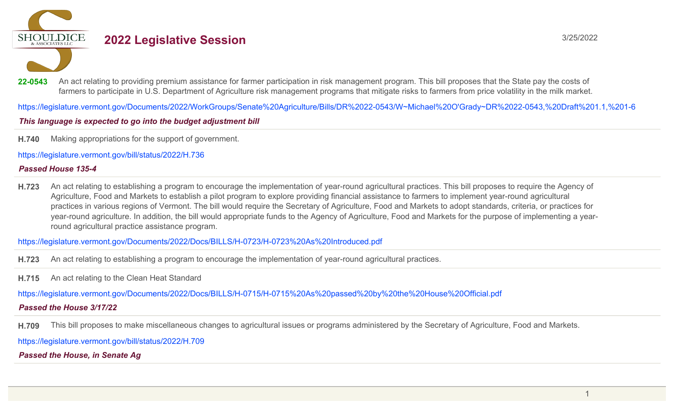**SHOULDICE** 

# **2022 Legislative Session** 3/25/2022

22-0543 An act relating to providing premium assistance for farmer participation in risk management program. This bill proposes that the State pay the costs of farmers to participate in U.S. Department of Agriculture risk management programs that mitigate risks to farmers from price volatility in the milk market.

https://legislature.vermont.gov/Documents/2022/WorkGroups/Senate%20Agriculture/Bills/DR%2022-0543/W~Michael%20O'Grady~DR%2022-0543,%20Draft%201.1,%201-6

# This language is expected to go into the budget adjustment bill

**H.740** Making appropriations for the support of government.

https://legislature.vermont.gov/bill/status/2022/H.736

## *Passed House 135-4*

**H.723** An act relating to establishing a program to encourage the implementation of year-round agricultural practices. This bill proposes to require the Agency of Agriculture, Food and Markets to establish a pilot program to explore providing financial assistance to farmers to implement year-round agricultural practices in various regions of Vermont. The bill would require the Secretary of Agriculture, Food and Markets to adopt standards, criteria, or practices for year-round agriculture. In addition, the bill would appropriate funds to the Agency of Agriculture, Food and Markets for the purpose of implementing a yearround agricultural practice assistance program.

https://legislature.vermont.gov/Documents/2022/Docs/BILLS/H-0723/H-0723%20As%20Introduced.pdf

**H.723** An act relating to establishing a program to encourage the implementation of year-round agricultural practices.

**H.715** An act relating to the Clean Heat Standard

https://legislature.vermont.gov/Documents/2022/Docs/BILLS/H-0715/H-0715%20As%20passed%20by%20the%20House%20Official.pdf

# *Passed the House 3/17/22*

**H.709** This bill proposes to make miscellaneous changes to agricultural issues or programs administered by the Secretary of Agriculture, Food and Markets.

https://legislature.vermont.gov/bill/status/2022/H.709

*Passed the House, in Senate Ag*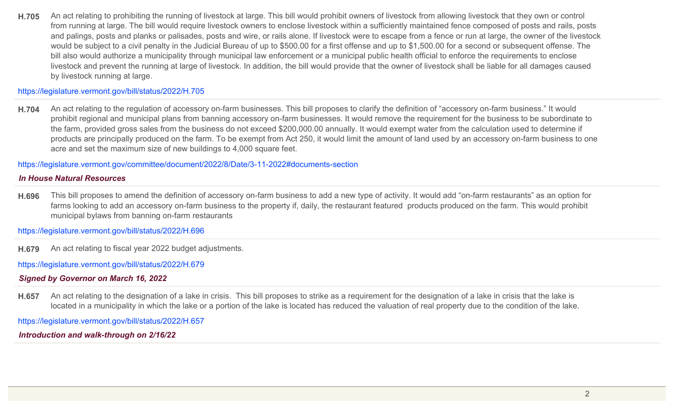**H.705** An act relating to prohibiting the running of livestock at large. This bill would prohibit owners of livestock from allowing livestock that they own or control from running at large. The bill would require livestock owners to enclose livestock within a sufficiently maintained fence composed of posts and rails, posts and palings, posts and planks or palisades, posts and wire, or rails alone. If livestock were to escape from a fence or run at large, the owner of the livestock would be subject to a civil penalty in the Judicial Bureau of up to \$500.00 for a first offense and up to \$1,500.00 for a second or subsequent offense. The bill also would authorize a municipality through municipal law enforcement or a municipal public health official to enforce the requirements to enclose livestock and prevent the running at large of livestock. In addition, the bill would provide that the owner of livestock shall be liable for all damages caused by livestock running at large.

### https://legislature.vermont.gov/bill/status/2022/H.705

**H.704** An act relating to the regulation of accessory on-farm businesses. This bill proposes to clarify the definition of "accessory on-farm business." It would prohibit regional and municipal plans from banning accessory on-farm businesses. It would remove the requirement for the business to be subordinate to the farm, provided gross sales from the business do not exceed \$200,000.00 annually. It would exempt water from the calculation used to determine if products are principally produced on the farm. To be exempt from Act 250, it would limit the amount of land used by an accessory on-farm business to one acre and set the maximum size of new buildings to 4,000 square feet.

https://legislature.vermont.gov/committee/document/2022/8/Date/3-11-2022#documents-section

#### *In House Natural Resources*

**H.696** This bill proposes to amend the definition of accessory on-farm business to add a new type of activity. It would add "on-farm restaurants" as an option for farms looking to add an accessory on-farm business to the property if, daily, the restaurant featured products produced on the farm. This would prohibit municipal bylaws from banning on-farm restaurants

https://legislature.vermont.gov/bill/status/2022/H.696

**H.679** An act relating to fiscal year 2022 budget adjustments.

https://legislature.vermont.gov/bill/status/2022/H.679

*Signed by Governor on March 16, 2022*

**H.657** An act relating to the designation of a lake in crisis. This bill proposes to strike as a requirement for the designation of a lake in crisis that the lake is located in a municipality in which the lake or a portion of the lake is located has reduced the valuation of real property due to the condition of the lake.

https://legislature.vermont.gov/bill/status/2022/H.657

*Introduction and walk-through on 2/16/22*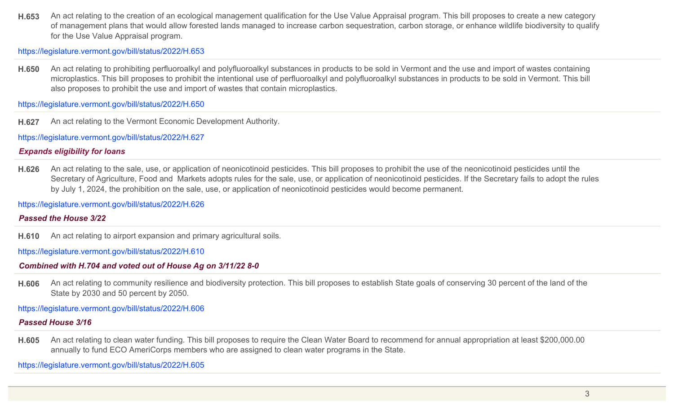**H.653** An act relating to the creation of an ecological management qualification for the Use Value Appraisal program. This bill proposes to create a new category of management plans that would allow forested lands managed to increase carbon sequestration, carbon storage, or enhance wildlife biodiversity to qualify for the Use Value Appraisal program.

https://legislature.vermont.gov/bill/status/2022/H.653

**H.650** An act relating to prohibiting perfluoroalkyl and polyfluoroalkyl substances in products to be sold in Vermont and the use and import of wastes containing microplastics. This bill proposes to prohibit the intentional use of perfluoroalkyl and polyfluoroalkyl substances in products to be sold in Vermont. This bill also proposes to prohibit the use and import of wastes that contain microplastics.

https://legislature.vermont.gov/bill/status/2022/H.650

**H.627** An act relating to the Vermont Economic Development Authority.

https://legislature.vermont.gov/bill/status/2022/H.627

# *Expands eligibility for loans*

**H.626** An act relating to the sale, use, or application of neonicotinoid pesticides. This bill proposes to prohibit the use of the neonicotinoid pesticides until the Secretary of Agriculture, Food and Markets adopts rules for the sale, use, or application of neonicotinoid pesticides. If the Secretary fails to adopt the rules by July 1, 2024, the prohibition on the sale, use, or application of neonicotinoid pesticides would become permanent.

https://legislature.vermont.gov/bill/status/2022/H.626

## *Passed the House 3/22*

**H.610** An act relating to airport expansion and primary agricultural soils.

https://legislature.vermont.gov/bill/status/2022/H.610

# *Combined with H.704 and voted out of House Ag on 3/11/22 8-0*

**H.606** An act relating to community resilience and biodiversity protection. This bill proposes to establish State goals of conserving 30 percent of the land of the State by 2030 and 50 percent by 2050.

https://legislature.vermont.gov/bill/status/2022/H.606

# *Passed House 3/16*

**H.605** An act relating to clean water funding. This bill proposes to require the Clean Water Board to recommend for annual appropriation at least \$200,000.00 annually to fund ECO AmeriCorps members who are assigned to clean water programs in the State.

https://legislature.vermont.gov/bill/status/2022/H.605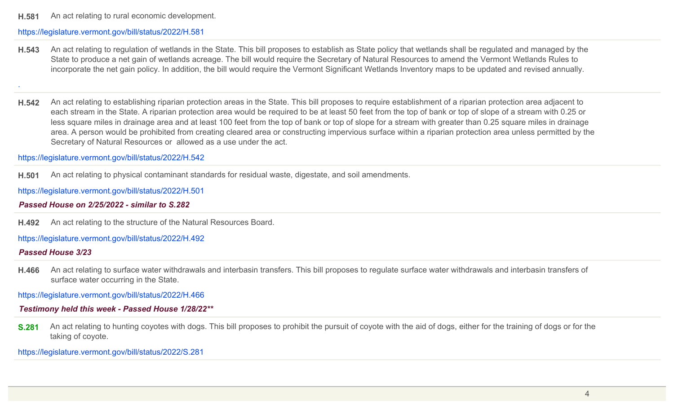**H.581** An act relating to rural economic development.

#### https://legislature.vermont.gov/bill/status/2022/H.581

**H.543** An act relating to regulation of wetlands in the State. This bill proposes to establish as State policy that wetlands shall be regulated and managed by the State to produce a net gain of wetlands acreage. The bill would require the Secretary of Natural Resources to amend the Vermont Wetlands Rules to incorporate the net gain policy. In addition, the bill would require the Vermont Significant Wetlands Inventory maps to be updated and revised annually.

.

**H.542** An act relating to establishing riparian protection areas in the State. This bill proposes to require establishment of a riparian protection area adjacent to each stream in the State. A riparian protection area would be required to be at least 50 feet from the top of bank or top of slope of a stream with 0.25 or less square miles in drainage area and at least 100 feet from the top of bank or top of slope for a stream with greater than 0.25 square miles in drainage area. A person would be prohibited from creating cleared area or constructing impervious surface within a riparian protection area unless permitted by the Secretary of Natural Resources or allowed as a use under the act.

https://legislature.vermont.gov/bill/status/2022/H.542

**H.501** An act relating to physical contaminant standards for residual waste, digestate, and soil amendments.

https://legislature.vermont.gov/bill/status/2022/H.501

### *Passed House on 2/25/2022 - similar to S.282*

**H.492** An act relating to the structure of the Natural Resources Board.

https://legislature.vermont.gov/bill/status/2022/H.492

#### *Passed House 3/23*

**H.466** An act relating to surface water withdrawals and interbasin transfers. This bill proposes to regulate surface water withdrawals and interbasin transfers of surface water occurring in the State.

https://legislature.vermont.gov/bill/status/2022/H.466

*Testimony held this week - Passed House 1/28/22\*\**

**S.281** An act relating to hunting coyotes with dogs. This bill proposes to prohibit the pursuit of coyote with the aid of dogs, either for the training of dogs or for the taking of coyote.

https://legislature.vermont.gov/bill/status/2022/S.281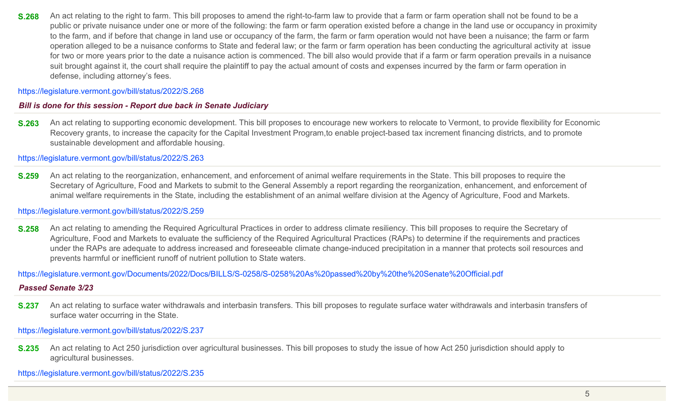**S.268** An act relating to the right to farm. This bill proposes to amend the right-to-farm law to provide that a farm or farm operation shall not be found to be a public or private nuisance under one or more of the following: the farm or farm operation existed before a change in the land use or occupancy in proximity to the farm, and if before that change in land use or occupancy of the farm, the farm or farm operation would not have been a nuisance; the farm or farm operation alleged to be a nuisance conforms to State and federal law; or the farm or farm operation has been conducting the agricultural activity at issue for two or more years prior to the date a nuisance action is commenced. The bill also would provide that if a farm or farm operation prevails in a nuisance suit brought against it, the court shall require the plaintiff to pay the actual amount of costs and expenses incurred by the farm or farm operation in defense, including attorney's fees.

https://legislature.vermont.gov/bill/status/2022/S.268

### *Bill is done for this session - Report due back in Senate Judiciary*

**S.263** An act relating to supporting economic development. This bill proposes to encourage new workers to relocate to Vermont, to provide flexibility for Economic Recovery grants, to increase the capacity for the Capital Investment Program,to enable project-based tax increment financing districts, and to promote sustainable development and affordable housing.

https://legislature.vermont.gov/bill/status/2022/S.263

**S.259** An act relating to the reorganization, enhancement, and enforcement of animal welfare requirements in the State. This bill proposes to require the Secretary of Agriculture, Food and Markets to submit to the General Assembly a report regarding the reorganization, enhancement, and enforcement of animal welfare requirements in the State, including the establishment of an animal welfare division at the Agency of Agriculture, Food and Markets.

#### https://legislature.vermont.gov/bill/status/2022/S.259

**S.258** An act relating to amending the Required Agricultural Practices in order to address climate resiliency. This bill proposes to require the Secretary of Agriculture, Food and Markets to evaluate the sufficiency of the Required Agricultural Practices (RAPs) to determine if the requirements and practices under the RAPs are adequate to address increased and foreseeable climate change-induced precipitation in a manner that protects soil resources and prevents harmful or inefficient runoff of nutrient pollution to State waters.

https://legislature.vermont.gov/Documents/2022/Docs/BILLS/S-0258/S-0258%20As%20passed%20by%20the%20Senate%20Official.pdf

### *Passed Senate 3/23*

**S.237** An act relating to surface water withdrawals and interbasin transfers. This bill proposes to regulate surface water withdrawals and interbasin transfers of surface water occurring in the State.

https://legislature.vermont.gov/bill/status/2022/S.237

**S.235** An act relating to Act 250 jurisdiction over agricultural businesses. This bill proposes to study the issue of how Act 250 jurisdiction should apply to agricultural businesses.

https://legislature.vermont.gov/bill/status/2022/S.235